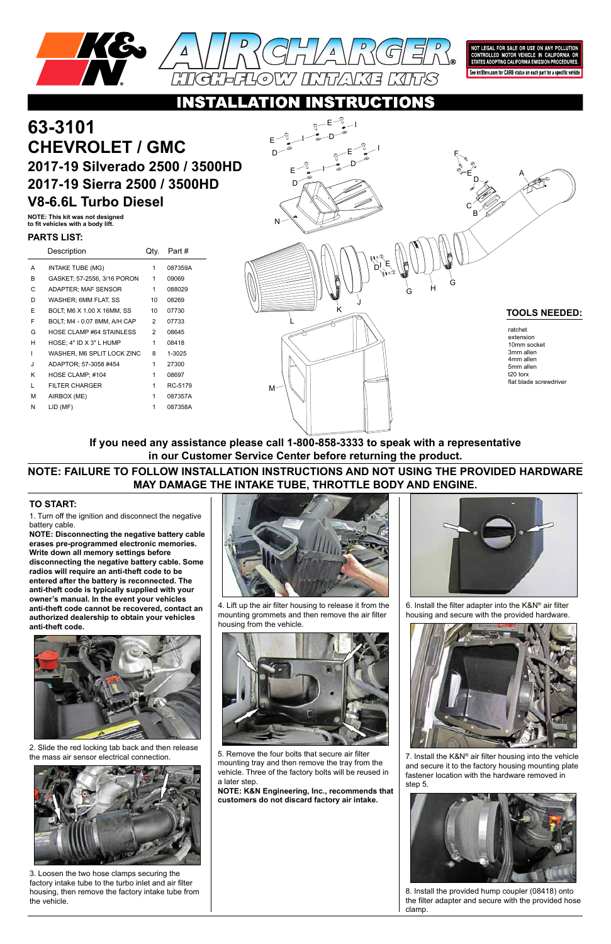

NOT LEGAL FOR SALE OR USE ON ANY POLLUTION<br>CONTROLLED MOTOR VEHICLE IN CALIFORNIA OR<br>STATES ADOPTING CALIFORNIA EMISSION PROCEDURES.

See knfilters.com for CARB status on each part for a specific vehicle

# RUCTIONS

1. Turn off the ignition and disconnect the negative battery cable.

**NOTE: Disconnecting the negative battery cable erases pre-programmed electronic memories. Write down all memory settings before disconnecting the negative battery cable. Some radios will require an anti-theft code to be entered after the battery is reconnected. The anti-theft code is typically supplied with your owner's manual. In the event your vehicles anti-theft code cannot be recovered, contact an authorized dealership to obtain your vehicles anti-theft code.**



# **63-3101 CHEVROLET / GMC 2017-19 Silverado 2500 / 3500HD 2017-19 Sierra 2500 / 3500HD V8-6.6L Turbo Diesel**

### **TO START:**

**NOTE: This kit was not designed to fit vehicles with a body lift.**

## **NOTE: FAILURE TO FOLLOW INSTALLATION INSTRUCTIONS AND NOT USING THE PROVIDED HARDWARE MAY DAMAGE THE INTAKE TUBE, THROTTLE BODY AND ENGINE.**

**If you need any assistance please call 1-800-858-3333 to speak with a representative in our Customer Service Center before returning the product.**

> 7. Install the K&N® air filter housing into the vehicle and secure it to the factory housing mounting plate fastener location with the hardware removed in step 5.



|   | Description                     | Qty. | Part #  |
|---|---------------------------------|------|---------|
| A | INTAKE TUBE (MG)                | 1    | 087359A |
| B | GASKET: 57-2556, 3/16 PORON     | 1    | 09069   |
| C | <b>ADAPTER: MAF SENSOR</b>      | 1    | 088029  |
| D | WASHER; 6MM FLAT, SS            | 10   | 08269   |
| Е | BOLT, M6 X 1.00 X 16MM, SS      | 10   | 07730   |
| F | BOLT, M4 - 0.07 8MM, A/H CAP    | 2    | 07733   |
| G | <b>HOSE CLAMP #64 STAINLESS</b> | 2    | 08645   |
| н | HOSE: 4" ID X 3" L HUMP         | 1    | 08418   |
| ı | WASHER. M6 SPLIT LOCK ZINC      | 8    | 1-3025  |
| J | ADAPTOR: 57-3058 #454           | 1    | 27300   |
| κ | HOSE CLAMP; #104                | 1    | 08697   |
| L | <b>FILTER CHARGER</b>           | 1    | RC-5179 |
| М | AIRBOX (ME)                     | 1    | 087357A |
| N | LID (MF)                        | 1    | 087358A |
|   |                                 |      |         |



#### **PARTS LIST:**

2. Slide the red locking tab back and then release the mass air sensor electrical connection.



3. Loosen the two hose clamps securing the factory intake tube to the turbo inlet and air filter housing, then remove the factory intake tube from the vehicle.



4. Lift up the air filter housing to release it from the mounting grommets and then remove the air filter housing from the vehicle.



5. Remove the four bolts that secure air filter mounting tray and then remove the tray from the vehicle. Three of the factory bolts will be reused in a later step.

**NOTE: K&N Engineering, Inc., recommends that customers do not discard factory air intake.**



6. Install the filter adapter into the K&N® air filter housing and secure with the provided hardware.



8. Install the provided hump coupler (08418) onto the filter adapter and secure with the provided hose clamp.